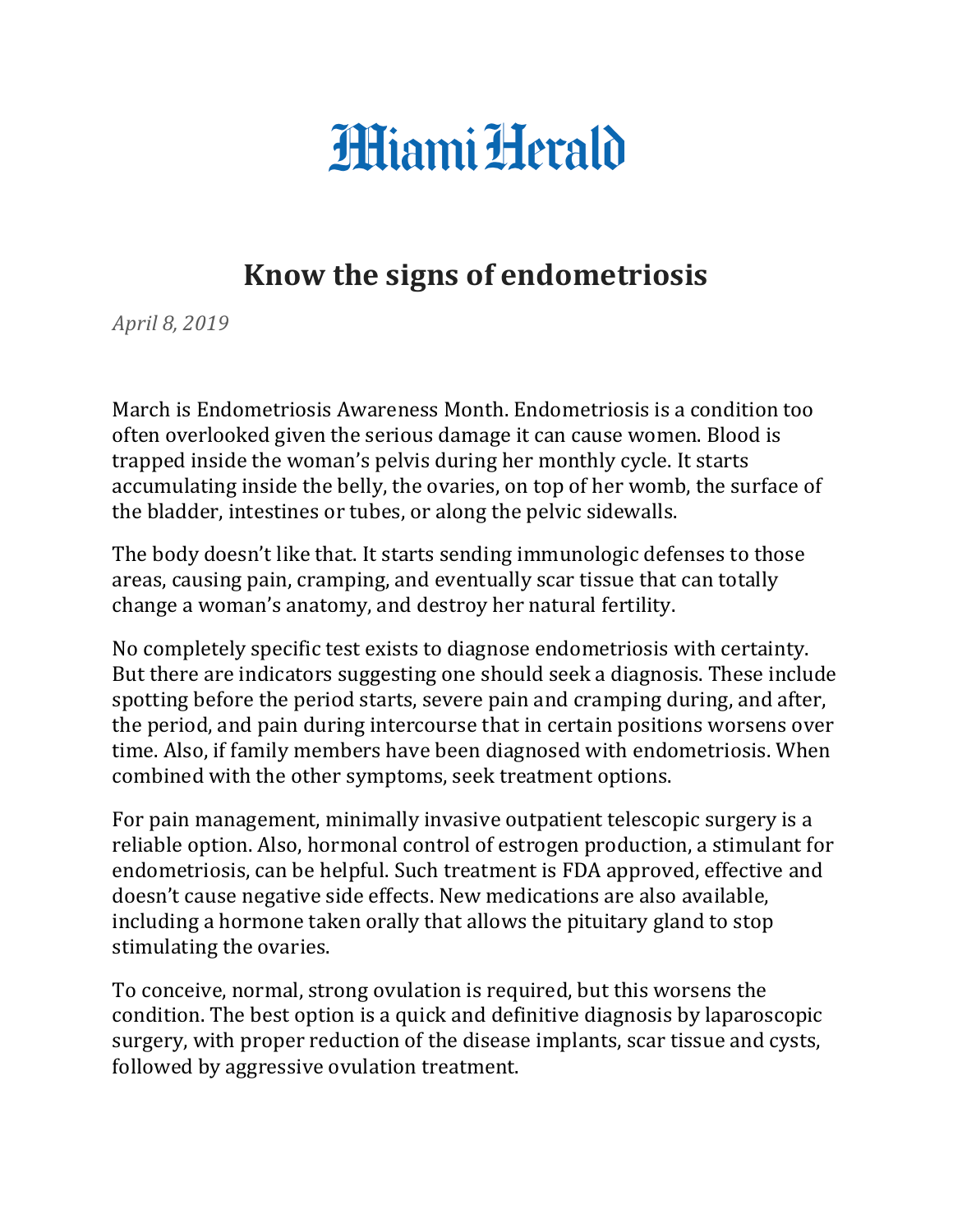## **Hiami Herald**

## **Know the signs of endometriosis**

*April 8, 2019*

March is Endometriosis Awareness Month. Endometriosis is a condition too often overlooked given the serious damage it can cause women. Blood is trapped inside the woman's pelvis during her monthly cycle. It starts accumulating inside the belly, the ovaries, on top of her womb, the surface of the bladder, intestines or tubes, or along the pelvic sidewalls.

The body doesn't like that. It starts sending immunologic defenses to those areas, causing pain, cramping, and eventually scar tissue that can totally change a woman's anatomy, and destroy her natural fertility.

No completely specific test exists to diagnose endometriosis with certainty. But there are indicators suggesting one should seek a diagnosis. These include spotting before the period starts, severe pain and cramping during, and after, the period, and pain during intercourse that in certain positions worsens over time. Also, if family members have been diagnosed with endometriosis. When combined with the other symptoms, seek treatment options.

For pain management, minimally invasive outpatient telescopic surgery is a reliable option. Also, hormonal control of estrogen production, a stimulant for endometriosis, can be helpful. Such treatment is FDA approved, effective and doesn't cause negative side effects. New medications are also available, including a hormone taken orally that allows the pituitary gland to stop stimulating the ovaries.

To conceive, normal, strong ovulation is required, but this worsens the condition. The best option is a quick and definitive diagnosis by laparoscopic surgery, with proper reduction of the disease implants, scar tissue and cysts, followed by aggressive ovulation treatment.